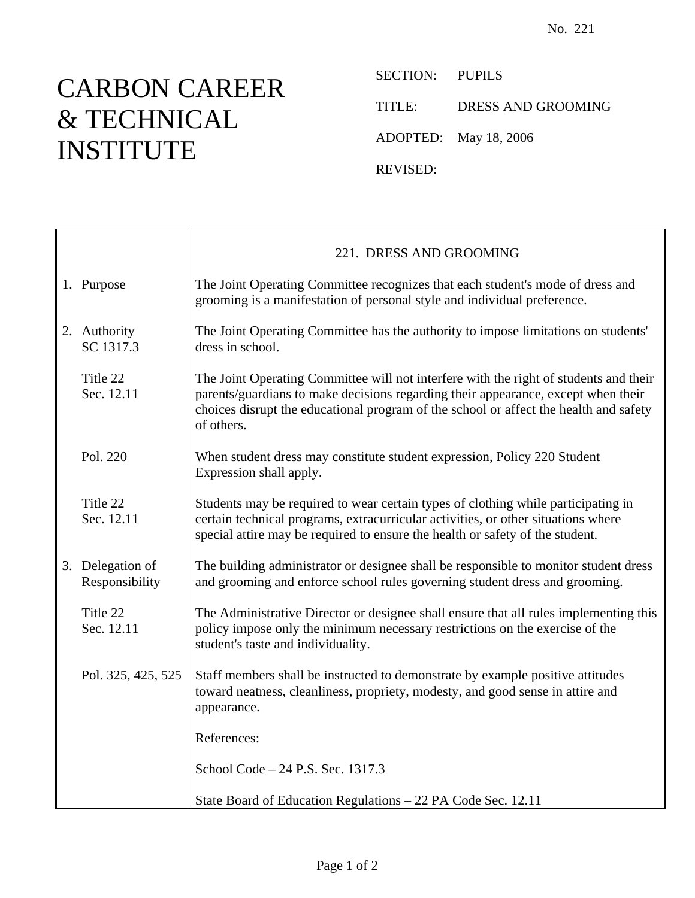## CARBON CAREER & TECHNICAL INSTITUTE

 $\top$ 

 $\mathsf{r}$ 

SECTION: PUPILS

TITLE: DRESS AND GROOMING

ADOPTED: May 18, 2006

REVISED:

|                                    | 221. DRESS AND GROOMING                                                                                                                                                                                                                                                           |
|------------------------------------|-----------------------------------------------------------------------------------------------------------------------------------------------------------------------------------------------------------------------------------------------------------------------------------|
| 1. Purpose                         | The Joint Operating Committee recognizes that each student's mode of dress and<br>grooming is a manifestation of personal style and individual preference.                                                                                                                        |
| 2. Authority<br>SC 1317.3          | The Joint Operating Committee has the authority to impose limitations on students'<br>dress in school.                                                                                                                                                                            |
| Title 22<br>Sec. 12.11             | The Joint Operating Committee will not interfere with the right of students and their<br>parents/guardians to make decisions regarding their appearance, except when their<br>choices disrupt the educational program of the school or affect the health and safety<br>of others. |
| Pol. 220                           | When student dress may constitute student expression, Policy 220 Student<br>Expression shall apply.                                                                                                                                                                               |
| Title 22<br>Sec. 12.11             | Students may be required to wear certain types of clothing while participating in<br>certain technical programs, extracurricular activities, or other situations where<br>special attire may be required to ensure the health or safety of the student.                           |
| 3. Delegation of<br>Responsibility | The building administrator or designee shall be responsible to monitor student dress<br>and grooming and enforce school rules governing student dress and grooming.                                                                                                               |
| Title 22<br>Sec. 12.11             | The Administrative Director or designee shall ensure that all rules implementing this<br>policy impose only the minimum necessary restrictions on the exercise of the<br>student's taste and individuality.                                                                       |
| Pol. 325, 425, 525                 | Staff members shall be instructed to demonstrate by example positive attitudes<br>toward neatness, cleanliness, propriety, modesty, and good sense in attire and<br>appearance.                                                                                                   |
|                                    | References:                                                                                                                                                                                                                                                                       |
|                                    | School Code - 24 P.S. Sec. 1317.3                                                                                                                                                                                                                                                 |
|                                    | State Board of Education Regulations – 22 PA Code Sec. 12.11                                                                                                                                                                                                                      |